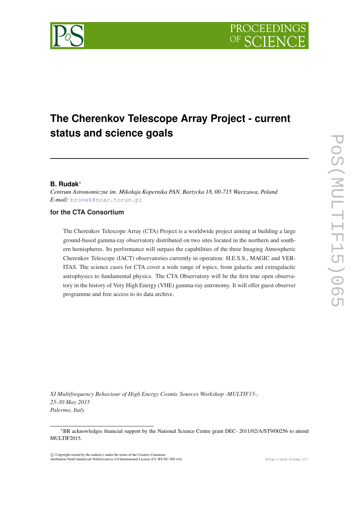# **The Cherenkov Telescope Array Project - current status and science goals**

# **B. Rudak**<sup>∗</sup>

*Centrum Astronomiczne im. Mikołaja Kopernika PAN, Bartycka 18, 00-715 Warszawa, Poland E-mail:* [bronek@ncac.torun.pl](mailto:bronek@ncac.torun.pl)

# **for the CTA Consortium**

The Cherenkov Telescope Array (CTA) Project is a worldwide project aiming at building a large ground-based gamma-ray observatory distributed on two sites located in the northern and southern hemispheres. Its performance will surpass the capabilities of the three Imaging Atmospheric Cherenkov Telescope (IACT) observatories currently in operation: H.E.S.S., MAGIC and VER-ITAS. The science cases for CTA cover a wide range of topics, from galactic and extragalactic astrophysics to fundamental physics. The CTA Observatory will be the first true open observatory in the history of Very High Energy (VHE) gamma-ray astronomy. It will offer guest observer programme and free access to its data archive.

*XI Multifrequency Behaviour of High Energy Cosmic Sources Workshop -MULTIF15-, 25-30 May 2015 Palermo, Italy*

 $(C)$  Copyright owned by the author(s) under the terms of the Creative Common Attribution-NonCommercial-NoDerivatives 4.0 International License (CC BY-NC-ND 4.0). http://pos.sissa.it/

<sup>∗</sup>BR acknowledges financial support by the National Science Centre grant DEC- 2011/02/A/ST9/00256 to attend MULTIF2015.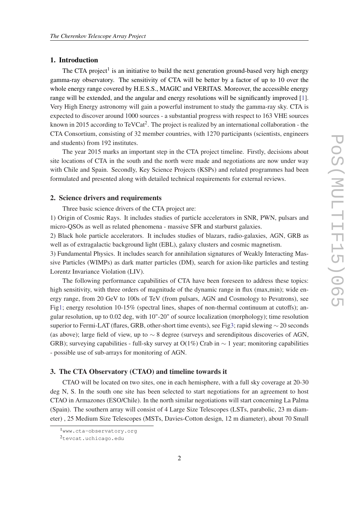### 1. Introduction

The CTA project<sup>1</sup> is an initiative to build the next generation ground-based very high energy gamma-ray observatory. The sensitivity of CTA will be better by a factor of up to 10 over the whole energy range covered by H.E.S.S., MAGIC and VERITAS. Moreover, the accessible energy range will be extended, and the angular and energy resolutions will be significantly improved [\[1\]](#page-5-0). Very High Energy astronomy will gain a powerful instrument to study the gamma-ray sky. CTA is expected to discover around 1000 sources - a substantial progress with respect to 163 VHE sources known in 2015 according to TeVCat<sup>2</sup>. The project is realized by an international collaboration - the CTA Consortium, consisting of 32 member countries, with 1270 participants (scientists, engineers and students) from 192 institutes.

The year 2015 marks an important step in the CTA project timeline. Firstly, decisions about site locations of CTA in the south and the north were made and negotiations are now under way with Chile and Spain. Secondly, Key Science Projects (KSPs) and related programmes had been formulated and presented along with detailed technical requirements for external reviews.

#### 2. Science drivers and requirements

Three basic science drivers of the CTA project are:

1) Origin of Cosmic Rays. It includes studies of particle accelerators in SNR, PWN, pulsars and micro-QSOs as well as related phenomena - massive SFR and starburst galaxies.

2) Black hole particle accelerators. It includes studies of blazars, radio-galaxies, AGN, GRB as well as of extragalactic background light (EBL), galaxy clusters and cosmic magnetism.

3) Fundamental Physics. It includes search for annihilation signatures of Weakly Interacting Massive Particles (WIMPs) as dark matter particles (DM), search for axion-like particles and testing Lorentz Invariance Violation (LIV).

The following performance capabilities of CTA have been foreseen to address these topics: high sensitivity, with three orders of magnitude of the dynamic range in flux (max,min); wide energy range, from 20 GeV to 100s of TeV (from pulsars, AGN and Cosmology to Pevatrons), see Fig[1](#page-2-0); energy resolution 10-15% (spectral lines, shapes of non-thermal continuum at cutoffs); angular resolution, up to 0.02 deg, with 10"-20" of source localization (morphology); time resolution superior to Fermi-LAT (flares, GRB, other-short time events), see Fi[g3;](#page-4-0) rapid slewing ∼ 20 seconds (as above); large field of view, up to  $\sim$  8 degree (surveys and serendipitous discoveries of AGN, GRB); surveying capabilities - full-sky survey at  $O(1\%)$  Crab in  $\sim 1$  year; monitoring capabilities - possible use of sub-arrays for monitoring of AGN.

#### 3. The CTA Observatory (CTAO) and timeline towards it

CTAO will be located on two sites, one in each hemisphere, with a full sky coverage at 20-30 deg N, S. In the south one site has been selected to start negotiations for an agreement to host CTAO in Armazones (ESO/Chile). In the north similar negotiations will start concerning La Palma (Spain). The southern array will consist of 4 Large Size Telescopes (LSTs, parabolic, 23 m diameter) , 25 Medium Size Telescopes (MSTs, Davies-Cotton design, 12 m diameter), about 70 Small

<sup>1</sup>www.cta-observatory.org

<sup>2</sup>tevcat.uchicago.edu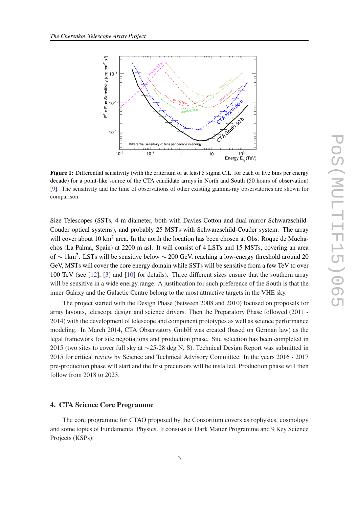<span id="page-2-0"></span>

Figure 1: Differential sensitivity (with the criterium of at least 5 sigma C.L. for each of five bins per energy decade) for a point-like source of the CTA candidate arrays in North and South (50 hours of observation) [[9\]](#page-5-0). The sensitivity and the time of observations of other existing gamma-ray observatories are shown for comparison.

Size Telescopes (SSTs, 4 m diameter, both with Davies-Cotton and dual-mirror Schwarzschild-Couder optical systems), and probably 25 MSTs with Schwarzschild-Couder system. The array will cover about 10 km<sup>2</sup> area. In the north the location has been chosen at Obs. Roque de Muchachos (La Palma, Spain) at 2200 m asl. It will consist of 4 LSTs and 15 MSTs, covering an area of  $\sim 1 \text{km}^2$ . LSTs will be sensitive below  $\sim 200$  GeV, reaching a low-energy threshold around 20 GeV, MSTs will cover the core energy domain while SSTs will be sensitive from a few TeV to over 100 TeV (see [\[12](#page-5-0)], [[3](#page-5-0)] and [\[10](#page-5-0)] for details). Three different sizes ensure that the southern array will be sensitive in a wide energy range. A justification for such preference of the South is that the inner Galaxy and the Galactic Centre belong to the most attractive targets in the VHE sky.

The project started with the Design Phase (between 2008 and 2010) focused on proposals for array layouts, telescope design and science drivers. Then the Preparatory Phase followed (2011 - 2014) with the development of telescope and component prototypes as well as science performance modeling. In March 2014, CTA Observatory GmbH was created (based on German law) as the legal framework for site negotiations and production phase. Site selection has been completed in 2015 (two sites to cover full sky at ∼25-28 deg N, S). Technical Design Report was submitted in 2015 for critical review by Science and Technical Advisory Committee. In the years 2016 - 2017 pre-production phase will start and the first precursors will be installed. Production phase will then follow from 2018 to 2023.

#### 4. CTA Science Core Programme

The core programme for CTAO proposed by the Consortium covers astrophysics, cosmology and some topics of Fundamental Physics. It consists of Dark Matter Programme and 9 Key Science Projects (KSPs):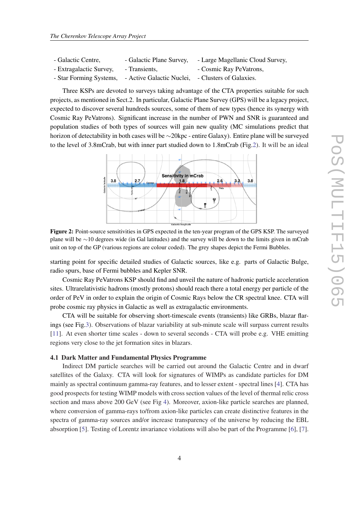| - Galactic Centre,      | - Galactic Plane Survey,                          | - Large Magellanic Cloud Survey, |
|-------------------------|---------------------------------------------------|----------------------------------|
| - Extragalactic Survey, | - Transients,                                     | - Cosmic Ray PeVatrons,          |
| - Star Forming Systems, | - Active Galactic Nuclei, - Clusters of Galaxies. |                                  |

Three KSPs are devoted to surveys taking advantage of the CTA properties suitable for such projects, as mentioned in Sect.2. In particular, Galactic Plane Survey (GPS) will be a legacy project, expected to discover several hundreds sources, some of them of new types (hence its synergy with Cosmic Ray PeVatrons). Significant increase in the number of PWN and SNR is guaranteed and population studies of both types of sources will gain new quality (MC simulations predict that horizon of detectability in both cases will be ∼20kpc - entire Galaxy). Entire plane will be surveyed to the level of 3.8mCrab, but with inner part studied down to 1.8mCrab (Fig.2). It will be an ideal



Figure 2: Point-source sensitivities in GPS expected in the ten-year program of the GPS KSP. The surveyed plane will be ∼10 degrees wide (in Gal latitudes) and the survey will be down to the limits given in mCrab unit on top of the GP (various regions are colour coded). The grey shapes depict the Fermi Bubbles.

starting point for specific detailed studies of Galactic sources, like e.g. parts of Galactic Bulge, radio spurs, base of Fermi bubbles and Kepler SNR.

Cosmic Ray PeVatrons KSP should find and unveil the nature of hadronic particle acceleration sites. Ultrarelativistic hadrons (mostly protons) should reach there a total energy per particle of the order of PeV in order to explain the origin of Cosmic Rays below the CR spectral knee. CTA will probe cosmic ray physics in Galactic as well as extragalactic environments.

CTA will be suitable for observing short-timescale events (transients) like GRBs, blazar flarings (see Fig[.3\)](#page-4-0). Observations of blazar variability at sub-minute scale will surpass current results [[11\]](#page-5-0). At even shorter time scales - down to several seconds - CTA will probe e.g. VHE emitting regions very close to the jet formation sites in blazars.

#### 4.1 Dark Matter and Fundamental Physics Programme

Indirect DM particle searches will be carried out around the Galactic Centre and in dwarf satellites of the Galaxy. CTA will look for signatures of WIMPs as candidate particles for DM mainly as spectral continuum gamma-ray features, and to lesser extent - spectral lines [\[4\]](#page-5-0). CTA has good prospects for testing WIMP models with cross section values of the level of thermal relic cross section and mass above 200 GeV (see Fig [4\)](#page-4-0). Moreover, axion-like particle searches are planned, where conversion of gamma-rays to/from axion-like particles can create distinctive features in the spectra of gamma-ray sources and/or increase transparency of the universe by reducing the EBL absorption [[5\]](#page-5-0). Testing of Lorentz invariance violations will also be part of the Programme [\[6\]](#page-5-0), [\[7\]](#page-5-0).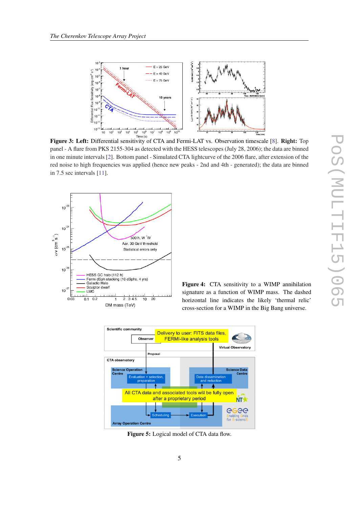<span id="page-4-0"></span>

panel - A flare from PKS 2155-304 as detected with the HESS telescopes (July 28, 2006); the data are binned in one minute intervals [[2\]](#page-5-0). Bottom panel - Simulated CTA lightcurve of the 2006 flare, after extension of the red noise to high frequencies was applied (hence new peaks - 2nd and 4th - generated); the data are binned in 7.5 sec intervals [[11\]](#page-5-0).



Figure 4: CTA sensitivity to a WIMP annihilation signature as a function of WIMP mass. The dashed horizontal line indicates the likely 'thermal relic' cross-section for a WIMP in the Big Bang universe.



Figure 5: Logical model of CTA data flow.